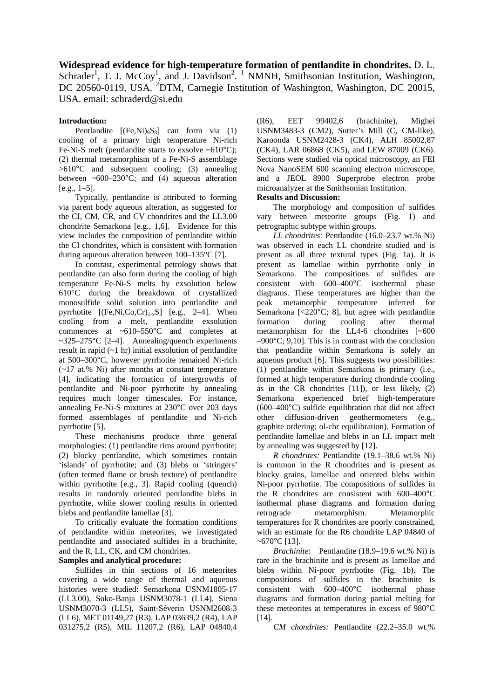**Widespread evidence for high-temperature formation of pentlandite in chondrites.** D. L. Schrader<sup>1</sup>, T. J. McCoy<sup>1</sup>, and J. Davidson<sup>2</sup>.<sup>1</sup> NMNH, Smithsonian Institution, Washington, DC 20560-0119, USA. <sup>2</sup>DTM, Carnegie Institution of Washington, Washington, DC 20015, USA. email: schraderd@si.edu

## **Introduction:**

Pentlandite  $[(Fe,Ni)<sub>9</sub>S<sub>8</sub>]$  can form via (1) cooling of a primary high temperature Ni-rich Fe-Ni-S melt (pentlandite starts to exsolve  $~610^{\circ}$ C); (2) thermal metamorphism of a Fe-Ni-S assemblage >610°C and subsequent cooling; (3) annealing between ~600–230 $^{\circ}$ C; and (4) aqueous alteration  $[e.g., 1-5]$ .

Typically, pentlandite is attributed to forming via parent body aqueous alteration, as suggested for the CI, CM, CR, and CV chondrites and the LL3.00 chondrite Semarkona [e.g., 1,6]. Evidence for this view includes the composition of pentlandite within the CI chondrites, which is consistent with formation during aqueous alteration between 100–135°C [7].

In contrast, experimental petrology shows that pentlandite can also form during the cooling of high temperature Fe-Ni-S melts by exsolution below 610°C during the breakdown of crystallized monosulfide solid solution into pentlandite and pyrrhotite  $[(Fe,Ni,Co,Cr)<sub>1-x</sub>S]$  [e.g., 2–4]. When cooling from a melt, pentlandite exsolution commences at  $~10-550$ °C and completes at  $\sim$ 325–275°C [2–4]. Annealing/quench experiments result in rapid (~1 hr) initial exsolution of pentlandite at 500–300°C, however pyrrhotite remained Ni-rich (~17 at.% Ni) after months at constant temperature [4], indicating the formation of intergrowths of pentlandite and Ni-poor pyrrhotite by annealing requires much longer timescales. For instance, annealing Fe-Ni-S mixtures at 230°C over 203 days formed assemblages of pentlandite and Ni-rich pyrrhotite [5].

These mechanisms produce three general morphologies: (1) pentlandite rims around pyrrhotite; (2) blocky pentlandite, which sometimes contain 'islands' of pyrrhotite; and (3) blebs or 'stringers' (often termed flame or brush texture) of pentlandite within pyrrhotite [e.g., 3]. Rapid cooling (quench) results in randomly oriented pentlandite blebs in pyrrhotite, while slower cooling results in oriented blebs and pentlandite lamellae [3].

To critically evaluate the formation conditions of pentlandite within meteorites, we investigated pentlandite and associated sulfides in a brachinite, and the R, LL, CK, and CM chondrites.

# **Samples and analytical procedure:**

Sulfides in thin sections of 16 meteorites covering a wide range of thermal and aqueous histories were studied: Semarkona USNM1805-17 (LL3.00), Soko-Banja USNM3078-1 (LL4), Siena USNM3070-3 (LL5), Saint-Séverin USNM2608-3 (LL6), MET 01149,27 (R3), LAP 03639,2 (R4), LAP 031275,2 (R5), MIL 11207,2 (R6), LAP 04840,4

(R6), EET 99402,6 (brachinite), Mighei USNM3483-3 (CM2), Sutter's Mill (C, CM-like), Karoonda USNM2428-3 (CK4), ALH 85002,87 (CK4), LAR 06868 (CK5), and LEW 87009 (CK6). Sections were studied via optical microscopy, an FEI Nova NanoSEM 600 scanning electron microscope, and a JEOL 8900 Superprobe electron probe microanalyzer at the Smithsonian Institution.

## **Results and Discussion:**

The morphology and composition of sulfides vary between meteorite groups (Fig. 1) and petrographic subtype within groups.

*LL chondrites:* Pentlandite (16.0–23.7 wt.% Ni) was observed in each LL chondrite studied and is present as all three textural types (Fig. 1a). It is present as lamellae within pyrrhotite only in Semarkona. The compositions of sulfides are consistent with 600–400°C isothermal phase diagrams. These temperatures are higher than the peak metamorphic temperature inferred for Semarkona [<220°C; 8], but agree with pentlandite formation during cooling after thermal metamorphism for the LL4-6 chondrites [~600  $-900$ °C; 9,10]. This is in contrast with the conclusion that pentlandite within Semarkona is solely an aqueous product [6]. This suggests two possibilities: (1) pentlandite within Semarkona is primary (i.e., formed at high temperature during chondrule cooling as in the CR chondrites  $[11]$ , or less likely,  $(2)$ Semarkona experienced brief high-temperature  $(600-400^{\circ}C)$  sulfide equilibration that did not affect other diffusion-driven geothermometers (e.g., graphite ordering; ol-chr equilibration). Formation of pentlandite lamellae and blebs in an LL impact melt by annealing was suggested by [12].

*R chondrites:* Pentlandite (19.1–38.6 wt.% Ni) is common in the R chondrites and is present as blocky grains, lamellae and oriented blebs within Ni-poor pyrrhotite. The compositions of sulfides in the R chondrites are consistent with 600–400°C isothermal phase diagrams and formation during retrograde metamorphism. Metamorphic temperatures for R chondrites are poorly constrained, with an estimate for the R6 chondrite LAP 04840 of ~ $670^{\circ}$ C [13].

*Brachinite*: Pentlandite (18.9–19.6 wt.% Ni) is rare in the brachinite and is present as lamellae and blebs within Ni-poor pyrrhotite (Fig. 1b). The compositions of sulfides in the brachinite is consistent with 600–400°C isothermal phase diagrams and formation during partial melting for these meteorites at temperatures in excess of 980°C [14].

*CM chondrites:* Pentlandite (22.2–35.0 wt.%